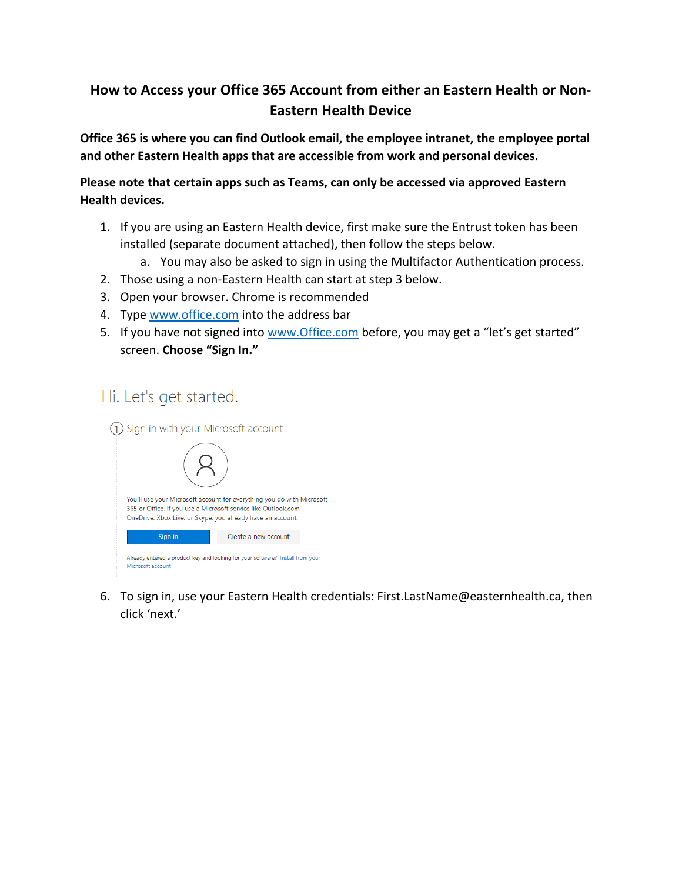## **How to Access your Office 365 Account from either an Eastern Health or Non-Eastern Health Device**

**Office 365 is where you can find Outlook email, the employee intranet, the employee portal and other Eastern Health apps that are accessible from work and personal devices.**

**Please note that certain apps such as Teams, can only be accessed via approved Eastern Health devices.**

- 1. If you are using an Eastern Health device, first make sure the Entrust token has been installed (separate document attached), then follow the steps below.
	- a. You may also be asked to sign in using the Multifactor Authentication process.
- 2. Those using a non-Eastern Health can start at step 3 below.
- 3. Open your browser. Chrome is recommended
- 4. Type [www.office.com](http://www.office.com/) into the address bar
- 5. If you have not signed into www. Office.com before, you may get a "let's get started" screen. **Choose "Sign In."**

## Hi. Let's get started.



6. To sign in, use your Eastern Health credentials: First.LastName@easternhealth.ca, then click 'next.'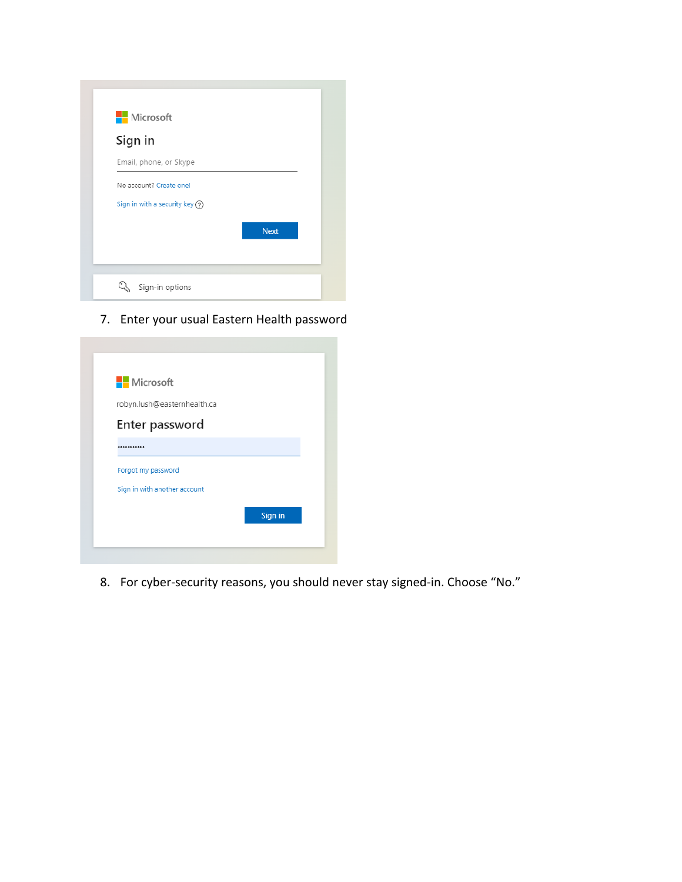| Microsoft                         |             |
|-----------------------------------|-------------|
| Sign in                           |             |
| Email, phone, or Skype            |             |
| No account? Create one!           |             |
| Sign in with a security key $(2)$ |             |
|                                   | <b>Next</b> |
|                                   |             |

7. Enter your usual Eastern Health password

| <b>Nicrosoft</b>             |         |
|------------------------------|---------|
| robyn.lush@easternhealth.ca  |         |
| Enter password               |         |
|                              |         |
| Forgot my password           |         |
| Sign in with another account |         |
|                              | Sign in |

8. For cyber-security reasons, you should never stay signed-in. Choose "No."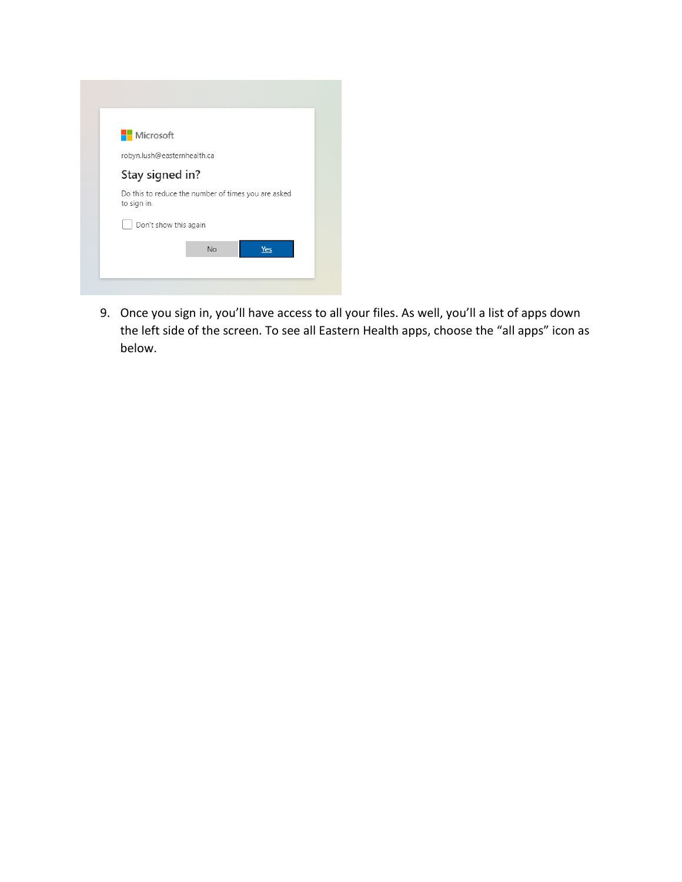| <b>Nicrosoft</b>            |           |                                                     |
|-----------------------------|-----------|-----------------------------------------------------|
| robyn.lush@easternhealth.ca |           |                                                     |
| Stay signed in?             |           |                                                     |
| to sign in.                 |           | Do this to reduce the number of times you are asked |
| Don't show this again       |           |                                                     |
|                             | <b>No</b> | Yes                                                 |

9. Once you sign in, you'll have access to all your files. As well, you'll a list of apps down the left side of the screen. To see all Eastern Health apps, choose the "all apps" icon as below.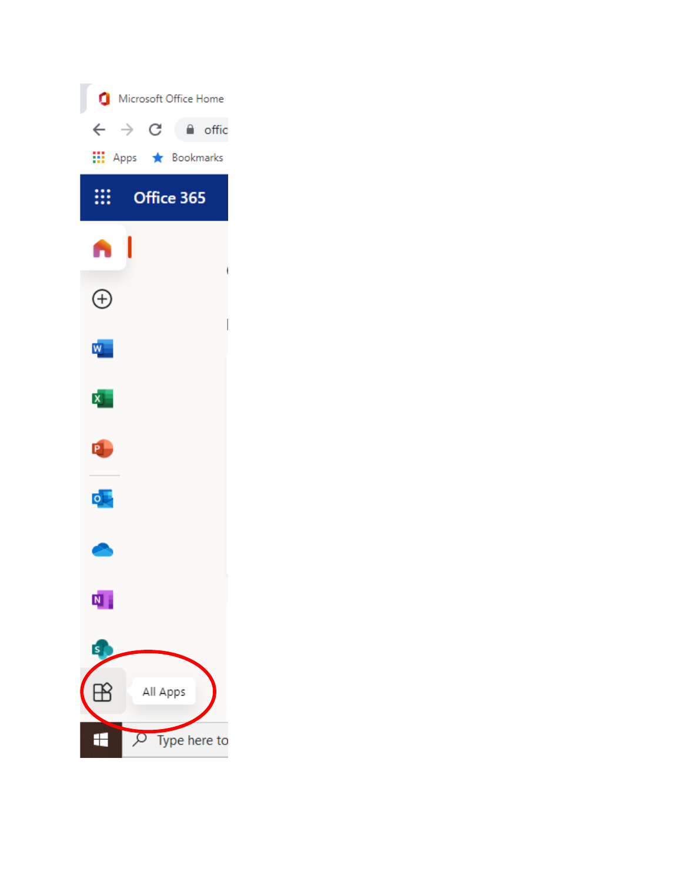